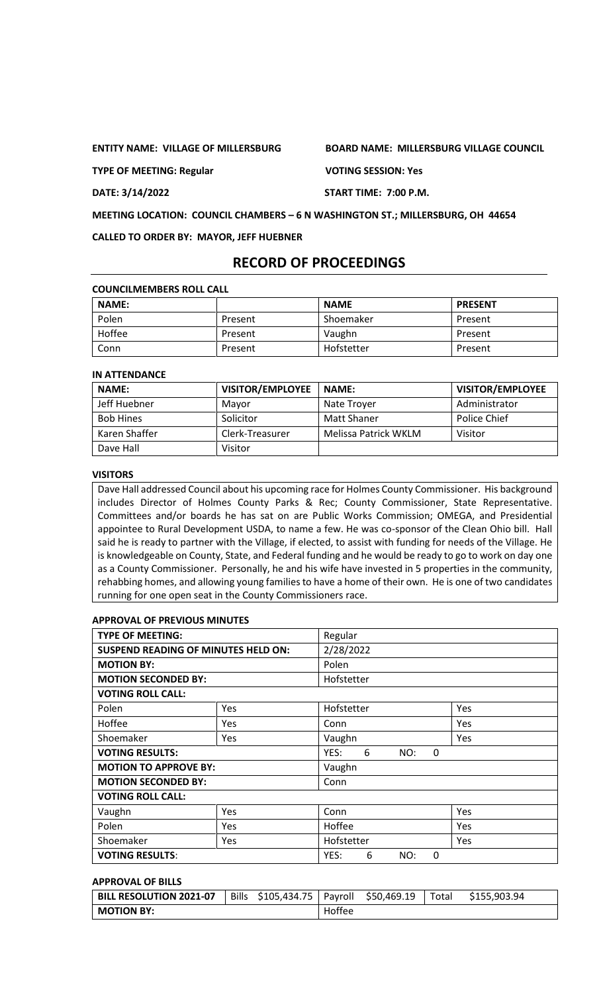**TYPE OF MEETING: Regular VOTING SESSION: Yes**

## **ENTITY NAME: VILLAGE OF MILLERSBURG BOARD NAME: MILLERSBURG VILLAGE COUNCIL**

**DATE: 3/14/2022 START TIME: 7:00 P.M.**

**MEETING LOCATION: COUNCIL CHAMBERS – 6 N WASHINGTON ST.; MILLERSBURG, OH 44654**

**CALLED TO ORDER BY: MAYOR, JEFF HUEBNER**

# **RECORD OF PROCEEDINGS**

#### **COUNCILMEMBERS ROLL CALL**

| <b>NAME:</b> |         | <b>NAME</b> | <b>PRESENT</b> |
|--------------|---------|-------------|----------------|
| Polen        | Present | Shoemaker   | Present        |
| Hoffee       | Present | Vaughn      | Present        |
| Conn         | Present | Hofstetter  | Present        |

## **IN ATTENDANCE**

| <b>NAME:</b>     | <b>VISITOR/EMPLOYEE</b> | <b>NAME:</b>         | <b>VISITOR/EMPLOYEE</b> |
|------------------|-------------------------|----------------------|-------------------------|
| Jeff Huebner     | Mavor                   | Nate Troyer          | Administrator           |
| <b>Bob Hines</b> | Solicitor               | Matt Shaner          | Police Chief            |
| Karen Shaffer    | Clerk-Treasurer         | Melissa Patrick WKLM | Visitor                 |
| Dave Hall        | Visitor                 |                      |                         |

## **VISITORS**

Dave Hall addressed Council about his upcoming race for Holmes County Commissioner. His background includes Director of Holmes County Parks & Rec; County Commissioner, State Representative. Committees and/or boards he has sat on are Public Works Commission; OMEGA, and Presidential appointee to Rural Development USDA, to name a few. He was co-sponsor of the Clean Ohio bill. Hall said he is ready to partner with the Village, if elected, to assist with funding for needs of the Village. He is knowledgeable on County, State, and Federal funding and he would be ready to go to work on day one as a County Commissioner. Personally, he and his wife have invested in 5 properties in the community, rehabbing homes, and allowing young families to have a home of their own. He is one of two candidates running for one open seat in the County Commissioners race.

## **APPROVAL OF PREVIOUS MINUTES**

| <b>TYPE OF MEETING:</b>                    |            | Regular                      |     |  |  |
|--------------------------------------------|------------|------------------------------|-----|--|--|
| <b>SUSPEND READING OF MINUTES HELD ON:</b> |            | 2/28/2022                    |     |  |  |
| <b>MOTION BY:</b>                          |            | Polen                        |     |  |  |
| <b>MOTION SECONDED BY:</b>                 |            | Hofstetter                   |     |  |  |
| <b>VOTING ROLL CALL:</b>                   |            |                              |     |  |  |
| Polen                                      | <b>Yes</b> | Hofstetter                   | Yes |  |  |
| Hoffee                                     | Yes        | Conn                         | Yes |  |  |
| Shoemaker                                  | Yes        | Vaughn                       | Yes |  |  |
| <b>VOTING RESULTS:</b>                     |            | YES:<br>NO:<br>6<br>0        |     |  |  |
| <b>MOTION TO APPROVE BY:</b>               |            | Vaughn                       |     |  |  |
| <b>MOTION SECONDED BY:</b>                 |            | Conn                         |     |  |  |
| <b>VOTING ROLL CALL:</b>                   |            |                              |     |  |  |
| Vaughn                                     | Yes        | Conn                         | Yes |  |  |
| Polen                                      | Yes        | Hoffee                       | Yes |  |  |
| Shoemaker                                  | <b>Yes</b> | Hofstetter                   | Yes |  |  |
| <b>VOTING RESULTS:</b>                     |            | YES:<br>6<br>NO:<br>$\Omega$ |     |  |  |

### **APPROVAL OF BILLS**

| <b>BILL RESOLUTION 2021-07</b> | Bills \$105,434.75   Payroll \$50,469.19 |        | l Total | \$155,903.94 |
|--------------------------------|------------------------------------------|--------|---------|--------------|
| <b>MOTION BY:</b>              |                                          | Hoffee |         |              |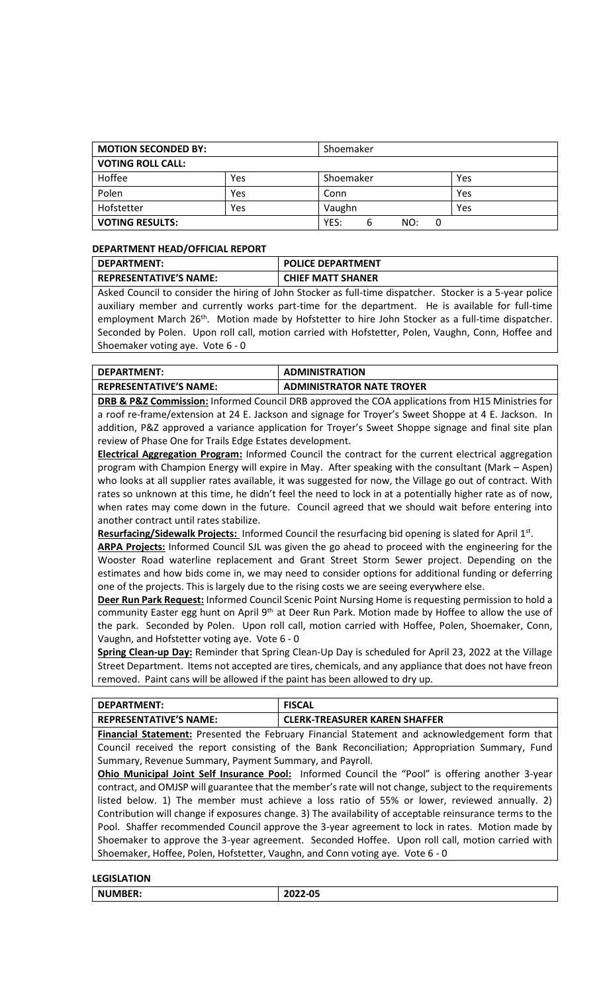| <b>MOTION SECONDED BY:</b> |     | Shoemaker             |     |  |  |
|----------------------------|-----|-----------------------|-----|--|--|
| <b>VOTING ROLL CALL:</b>   |     |                       |     |  |  |
| Hoffee                     | Yes | Shoemaker             | Yes |  |  |
| Polen                      | Yes | Conn                  | Yes |  |  |
| Hofstetter                 | Yes | Vaughn                | Yes |  |  |
| <b>VOTING RESULTS:</b>     |     | YES:<br>NO:<br>6<br>0 |     |  |  |

## **DEPARTMENT HEAD/OFFICIAL REPORT**

| DEPARTMENT:                   | <b>POLICE DEPARTMENT</b> |
|-------------------------------|--------------------------|
| <b>REPRESENTATIVE'S NAME:</b> | <b>CHIEF MATT SHANER</b> |

Asked Council to consider the hiring of John Stocker as full-time dispatcher. Stocker is a 5-year police auxiliary member and currently works part-time for the department. He is available for full-time employment March 26<sup>th</sup>. Motion made by Hofstetter to hire John Stocker as a full-time dispatcher. Seconded by Polen. Upon roll call, motion carried with Hofstetter, Polen, Vaughn, Conn, Hoffee and Shoemaker voting aye. Vote 6 - 0

| DEPARTMENT:                   | <b>ADMINISTRATION</b>            |
|-------------------------------|----------------------------------|
| <b>REPRESENTATIVE'S NAME:</b> | <b>ADMINISTRATOR NATE TROYER</b> |

**DRB & P&Z Commission:** Informed Council DRB approved the COA applications from H15 Ministries for a roof re-frame/extension at 24 E. Jackson and signage for Troyer's Sweet Shoppe at 4 E. Jackson. In addition, P&Z approved a variance application for Troyer's Sweet Shoppe signage and final site plan review of Phase One for Trails Edge Estates development.

**Electrical Aggregation Program:** Informed Council the contract for the current electrical aggregation program with Champion Energy will expire in May. After speaking with the consultant (Mark – Aspen) who looks at all supplier rates available, it was suggested for now, the Village go out of contract. With rates so unknown at this time, he didn't feel the need to lock in at a potentially higher rate as of now, when rates may come down in the future. Council agreed that we should wait before entering into another contract until rates stabilize.

Resurfacing/Sidewalk Projects: Informed Council the resurfacing bid opening is slated for April 1<sup>st</sup>.

**ARPA Projects:** Informed Council SJL was given the go ahead to proceed with the engineering for the Wooster Road waterline replacement and Grant Street Storm Sewer project. Depending on the estimates and how bids come in, we may need to consider options for additional funding or deferring one of the projects. This is largely due to the rising costs we are seeing everywhere else.

**Deer Run Park Request:** Informed Council Scenic Point Nursing Home is requesting permission to hold a community Easter egg hunt on April 9<sup>th</sup> at Deer Run Park. Motion made by Hoffee to allow the use of the park. Seconded by Polen. Upon roll call, motion carried with Hoffee, Polen, Shoemaker, Conn, Vaughn, and Hofstetter voting aye. Vote 6 - 0

**Spring Clean-up Day:** Reminder that Spring Clean-Up Day is scheduled for April 23, 2022 at the Village Street Department. Items not accepted are tires, chemicals, and any appliance that does not have freon removed. Paint cans will be allowed if the paint has been allowed to dry up.

| <b>DEPARTMENT:</b>            | <b>FISCAL</b>                                                                                  |  |  |
|-------------------------------|------------------------------------------------------------------------------------------------|--|--|
| <b>REPRESENTATIVE'S NAME:</b> | <b>CLERK-TREASURER KAREN SHAFFER</b>                                                           |  |  |
|                               | Financial Statement: Presented the February Financial Statement and acknowledgement form that  |  |  |
|                               | Council received the report consisting of the Bank Reconciliation; Appropriation Summary, Fund |  |  |

Summary, Revenue Summary, Payment Summary, and Payroll. **Ohio Municipal Joint Self Insurance Pool:** Informed Council the "Pool" is offering another 3-year

contract, and OMJSP will guarantee that the member's rate will not change, subject to the requirements listed below. 1) The member must achieve a loss ratio of 55% or lower, reviewed annually. 2) Contribution will change if exposures change. 3) The availability of acceptable reinsurance terms to the Pool. Shaffer recommended Council approve the 3-year agreement to lock in rates. Motion made by Shoemaker to approve the 3-year agreement. Seconded Hoffee. Upon roll call, motion carried with Shoemaker, Hoffee, Polen, Hofstetter, Vaughn, and Conn voting aye. Vote 6 - 0

**LEGISLATION**

**NUMBER: 2022-05**